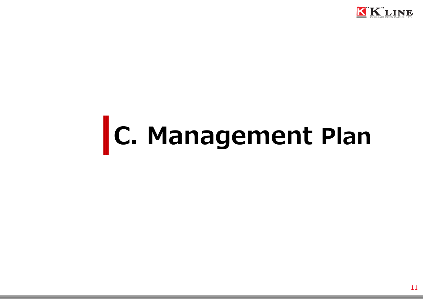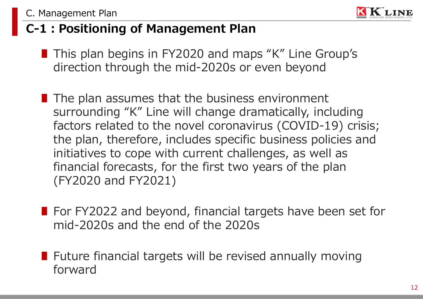

### **C-1:Positioning of Management Plan**

- This plan begins in FY2020 and maps "K" Line Group's direction through the mid-2020s or even beyond
- The plan assumes that the business environment surrounding "K" Line will change dramatically, including factors related to the novel coronavirus (COVID-19) crisis; the plan, therefore, includes specific business policies and initiatives to cope with current challenges, as well as financial forecasts, for the first two years of the plan (FY2020 and FY2021)
- For FY2022 and beyond, financial targets have been set for mid-2020s and the end of the 2020s
- Future financial targets will be revised annually moving forward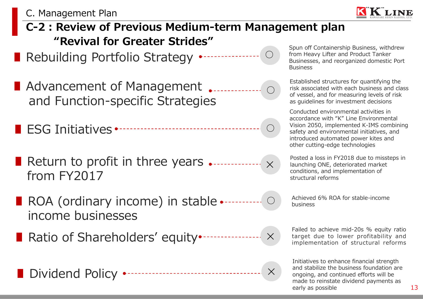

- **C-2:Review of Previous Medium-term Management plan "Revival for Greater Strides"**
- Rebuilding Portfolio Strategy **○**
- Advancement of Management <sub>●</sub> and Function-specific Strategies
- ESG Initiatives
- ∎ Return to profit in three years **✕** from FY2017
- Achieved 6% ROA for stable-income ∎ ROA (ordinary income) in stable business income businesses
- Ratio of Shareholders' equity•------------------ × Larget due to lower profitability and
- ∎ Dividend Policy **✕**

Spun off Containership Business, withdrew from Heavy Lifter and Product Tanker Businesses, and reorganized domestic Port **Business** 

Established structures for quantifying the risk associated with each business and class of vessel, and for measuring levels of risk as guidelines for investment decisions

Conducted environmental activities in accordance with "K" Line Environmental Vision 2050, implemented K-IMS combining safety and environmental initiatives, and introduced automated power kites and other cutting-edge technologies

Posted a loss in FY2018 due to missteps in launching ONE, deteriorated market conditions, and implementation of structural reforms

Failed to achieve mid-20s % equity ratio target due to lower profitability and

Initiatives to enhance financial strength and stabilize the business foundation are ongoing, and continued efforts will be made to reinstate dividend payments as early as possible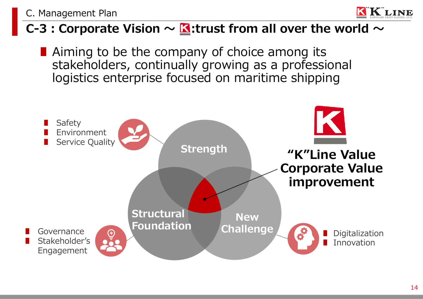#### **C-3** : Corporate Vision  $\sim$  **K**: trust from all over the world  $\sim$

■ Aiming to be the company of choice among its stakeholders, continually growing as a professional logistics enterprise focused on maritime shipping



LINE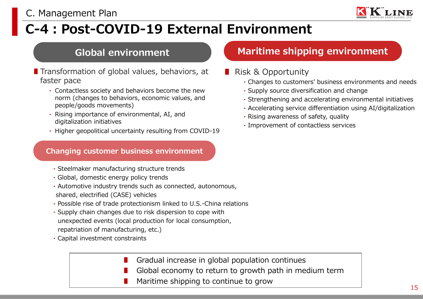## **C-4:Post-COVID-19 External Environment**

- Transformation of global values, behaviors, at faster pace
	- ‣ Contactless society and behaviors become the new norm (changes to behaviors, economic values, and people/goods movements)
	- ‣ Rising importance of environmental, AI, and digitalization initiatives
	- ‣ Higher geopolitical uncertainty resulting from COVID-19

#### **Changing customer business environment**

- ‣Steelmaker manufacturing structure trends
- ‣Global, domestic energy policy trends
- ‣Automotive industry trends such as connected, autonomous, shared, electrified (CASE) vehicles
- ‣Possible rise of trade protectionism linked to U.S.-China relations
- ‣Supply chain changes due to risk dispersion to cope with unexpected events (local production for local consumption, repatriation of manufacturing, etc.)
- ‣Capital investment constraints
	- Gradual increase in global population continues
	- Global economy to return to growth path in medium term
	- Maritime shipping to continue to grow

#### **Global environment Maritime shipping environment**

- Risk & Opportunity
	- ‣Changes to customers' business environments and needs
	- ‣Supply source diversification and change
	- ‣Strengthening and accelerating environmental initiatives
	- ‣Accelerating service differentiation using AI/digitalization
	- $\cdot$  Rising awareness of safety, quality
	- ‣Improvement of contactless services

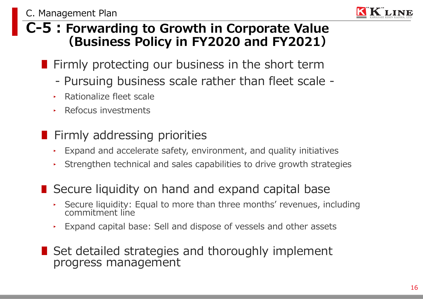

#### **C-5:Forwarding to Growth in Corporate Value (Business Policy in FY2020 and FY2021)**

- Firmly protecting our business in the short term
	- Pursuing business scale rather than fleet scale -
	- ‣ Rationalize fleet scale
	- ‣ Refocus investments
- Firmly addressing priorities
	- $\cdot$  Expand and accelerate safety, environment, and quality initiatives
	- ‣ Strengthen technical and sales capabilities to drive growth strategies

#### ■ Secure liquidity on hand and expand capital base

- ‣ Secure liquidity: Equal to more than three months' revenues, including commitment line
- ‣ Expand capital base: Sell and dispose of vessels and other assets
- Set detailed strategies and thoroughly implement progress management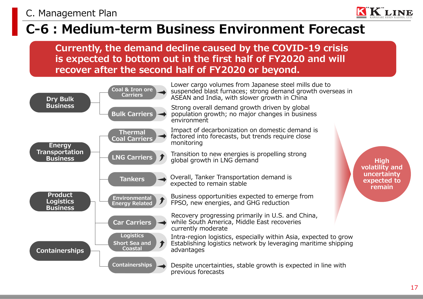#### **C-6:Medium-term Business Environment Forecast**

**Currently, the demand decline caused by the COVID-19 crisis is expected to bottom out in the first half of FY2020 and will recover after the second half of FY2020 or beyond.**

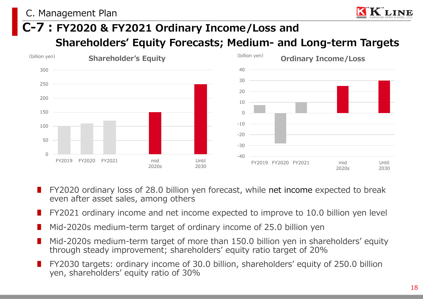#### **C-7:FY2020 & FY2021 Ordinary Income/Loss and Shareholders' Equity Forecasts; Medium- and Long-term Targets**



- FY2020 ordinary loss of 28.0 billion yen forecast, while net income expected to break even after asset sales, among others
- FY2021 ordinary income and net income expected to improve to 10.0 billion yen level
- Mid-2020s medium-term target of ordinary income of 25.0 billion yen
- Mid-2020s medium-term target of more than 150.0 billion yen in shareholders' equity through steady improvement; shareholders' equity ratio target of 20%
- FY2030 targets: ordinary income of 30.0 billion, shareholders' equity of 250.0 billion yen, shareholders' equity ratio of 30%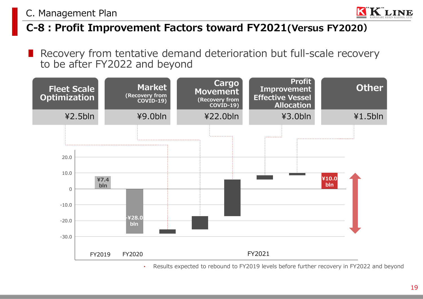

#### **C-8:Profit Improvement Factors toward FY2021(Versus FY2020)**

■ Recovery from tentative demand deterioration but full-scale recovery to be after FY2022 and beyond



‣ Results expected to rebound to FY2019 levels before further recovery in FY2022 and beyond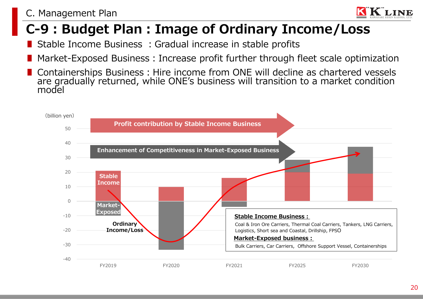#### **C-9:Budget Plan:Image of Ordinary Income/Loss**

- Stable Income Business : Gradual increase in stable profits
- Market-Exposed Business: Increase profit further through fleet scale optimization
- Containerships Business: Hire income from ONE will decline as chartered vessels are gradually returned, while ONE's business will transition to a market condition model

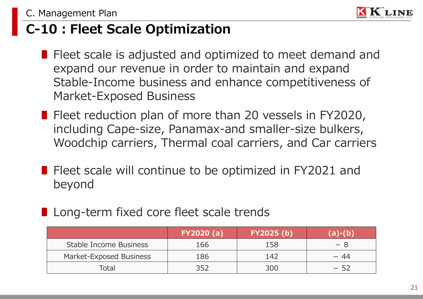

### **C-10:Fleet Scale Optimization**

- Fleet scale is adjusted and optimized to meet demand and expand our revenue in order to maintain and expand Stable-Income business and enhance competitiveness of Market-Exposed Business
- Fleet reduction plan of more than 20 vessels in FY2020, including Cape-size, Panamax-and smaller-size bulkers, Woodchip carriers, Thermal coal carriers, and Car carriers
- Fleet scale will continue to be optimized in FY2021 and beyond
- Long-term fixed core fleet scale trends

|                         | FY2020(a) | <b>FY2025 (b)</b> |      |
|-------------------------|-----------|-------------------|------|
| Stable Income Business  | 166       | 158               | — x  |
| Market-Exposed Business | 186       | 147               | - 44 |
| Total                   | ス5つ       | 300               | - 52 |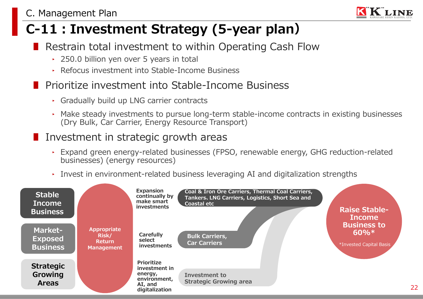### **C-11:Investment Strategy (5-year plan)**

- Restrain total investment to within Operating Cash Flow
	- ‣ 250.0 billion yen over 5 years in total
	- ‣ Refocus investment into Stable-Income Business

#### ■ Prioritize investment into Stable-Income Business

- ‣ Gradually build up LNG carrier contracts
- ‣ Make steady investments to pursue long-term stable-income contracts in existing businesses (Dry Bulk, Car Carrier, Energy Resource Transport)

#### ■ Investment in strategic growth areas

- ‣ Expand green energy-related businesses (FPSO, renewable energy, GHG reduction-related businesses) (energy resources)
- ‣ Invest in environment-related business leveraging AI and digitalization strengths



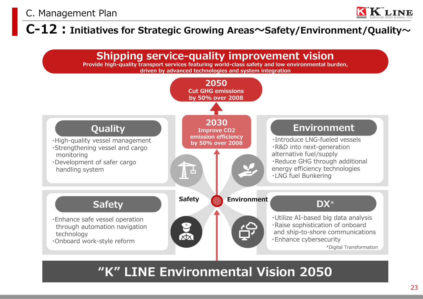#### **C-12:Initiatives for Strategic Growing Areas~Safety/Environment/Quality~**



#### **"K" LINE Environmental Vision 2050**

**KLINE**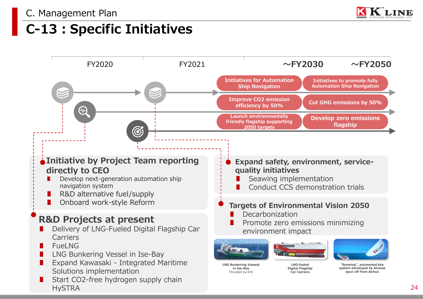

#### **C-13:Specific Initiatives**